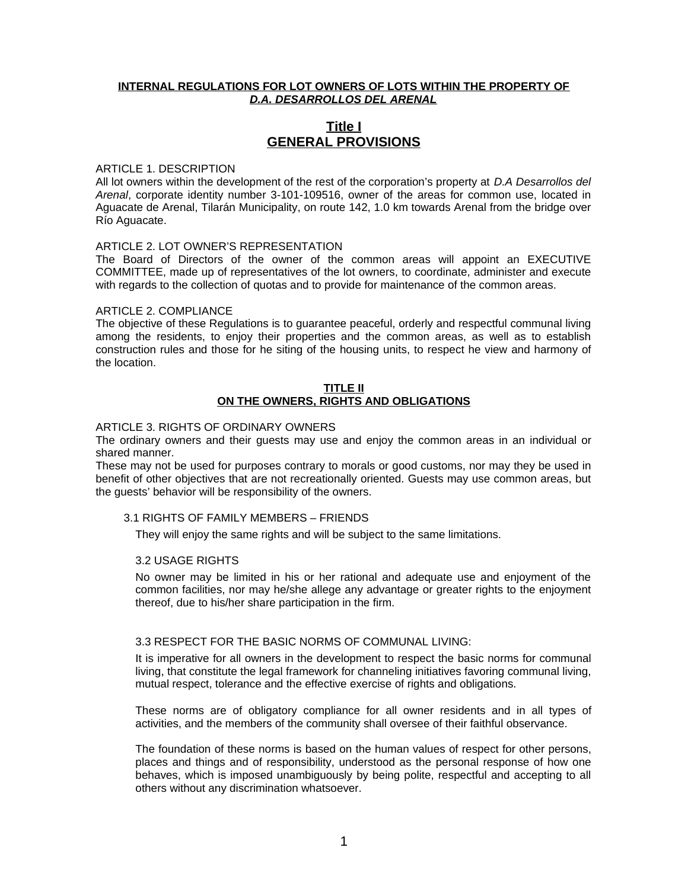## **INTERNAL REGULATIONS FOR LOT OWNERS OF LOTS WITHIN THE PROPERTY OF** *D.A. DESARROLLOS DEL ARENAL*

# **Title I GENERAL PROVISIONS**

## ARTICLE 1. DESCRIPTION

All lot owners within the development of the rest of the corporation's property at *D.A Desarrollos del Arenal*, corporate identity number 3-101-109516, owner of the areas for common use, located in Aguacate de Arenal, Tilarán Municipality, on route 142, 1.0 km towards Arenal from the bridge over Río Aguacate.

#### ARTICLE 2. LOT OWNER'S REPRESENTATION

The Board of Directors of the owner of the common areas will appoint an EXECUTIVE COMMITTEE, made up of representatives of the lot owners, to coordinate, administer and execute with regards to the collection of quotas and to provide for maintenance of the common areas.

#### ARTICLE 2. COMPLIANCE

The objective of these Regulations is to guarantee peaceful, orderly and respectful communal living among the residents, to enjoy their properties and the common areas, as well as to establish construction rules and those for he siting of the housing units, to respect he view and harmony of the location.

### **TITLE II ON THE OWNERS, RIGHTS AND OBLIGATIONS**

### ARTICLE 3. RIGHTS OF ORDINARY OWNERS

The ordinary owners and their guests may use and enjoy the common areas in an individual or shared manner.

These may not be used for purposes contrary to morals or good customs, nor may they be used in benefit of other objectives that are not recreationally oriented. Guests may use common areas, but the guests' behavior will be responsibility of the owners.

### 3.1 RIGHTS OF FAMILY MEMBERS – FRIENDS

They will enjoy the same rights and will be subject to the same limitations.

#### 3.2 USAGE RIGHTS

No owner may be limited in his or her rational and adequate use and enjoyment of the common facilities, nor may he/she allege any advantage or greater rights to the enjoyment thereof, due to his/her share participation in the firm.

## 3.3 RESPECT FOR THE BASIC NORMS OF COMMUNAL LIVING:

It is imperative for all owners in the development to respect the basic norms for communal living, that constitute the legal framework for channeling initiatives favoring communal living, mutual respect, tolerance and the effective exercise of rights and obligations.

These norms are of obligatory compliance for all owner residents and in all types of activities, and the members of the community shall oversee of their faithful observance.

The foundation of these norms is based on the human values of respect for other persons, places and things and of responsibility, understood as the personal response of how one behaves, which is imposed unambiguously by being polite, respectful and accepting to all others without any discrimination whatsoever.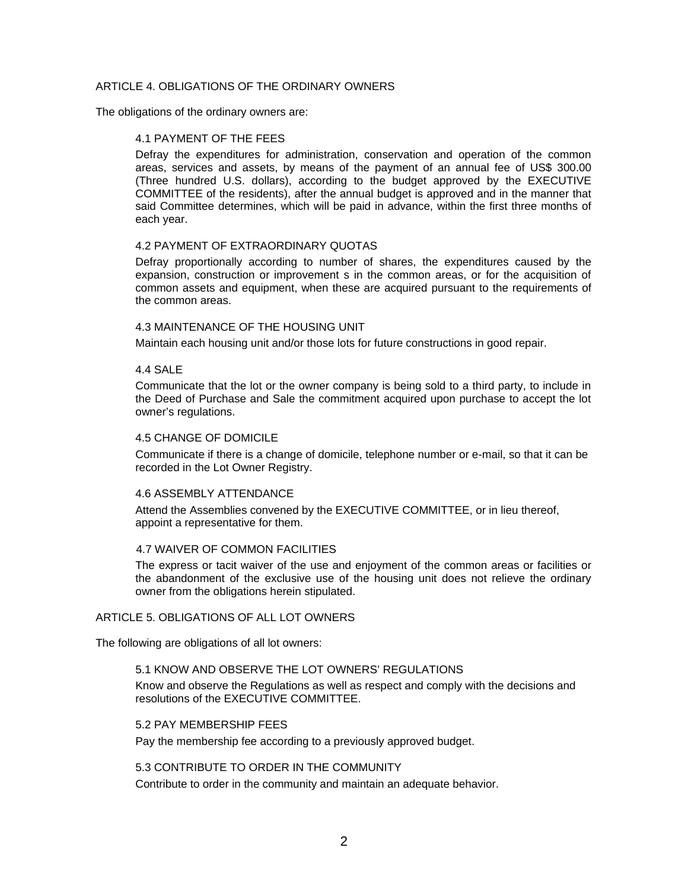## ARTICLE 4. OBLIGATIONS OF THE ORDINARY OWNERS

The obligations of the ordinary owners are:

## 4.1 PAYMENT OF THE FEES

Defray the expenditures for administration, conservation and operation of the common areas, services and assets, by means of the payment of an annual fee of US\$ 300.00 (Three hundred U.S. dollars), according to the budget approved by the EXECUTIVE COMMITTEE of the residents), after the annual budget is approved and in the manner that said Committee determines, which will be paid in advance, within the first three months of each year.

## 4.2 PAYMENT OF EXTRAORDINARY QUOTAS

Defray proportionally according to number of shares, the expenditures caused by the expansion, construction or improvement s in the common areas, or for the acquisition of common assets and equipment, when these are acquired pursuant to the requirements of the common areas.

## 4.3 MAINTENANCE OF THE HOUSING UNIT

Maintain each housing unit and/or those lots for future constructions in good repair.

## 4.4 SALE

Communicate that the lot or the owner company is being sold to a third party, to include in the Deed of Purchase and Sale the commitment acquired upon purchase to accept the lot owner's regulations.

## 4.5 CHANGE OF DOMICILE

Communicate if there is a change of domicile, telephone number or e-mail, so that it can be recorded in the Lot Owner Registry.

#### 4.6 ASSEMBLY ATTENDANCE

Attend the Assemblies convened by the EXECUTIVE COMMITTEE, or in lieu thereof, appoint a representative for them.

## 4.7 WAIVER OF COMMON FACILITIES

The express or tacit waiver of the use and enjoyment of the common areas or facilities or the abandonment of the exclusive use of the housing unit does not relieve the ordinary owner from the obligations herein stipulated.

## ARTICLE 5. OBLIGATIONS OF ALL LOT OWNERS

The following are obligations of all lot owners:

#### 5.1 KNOW AND OBSERVE THE LOT OWNERS' REGULATIONS

Know and observe the Regulations as well as respect and comply with the decisions and resolutions of the EXECUTIVE COMMITTEE.

#### 5.2 PAY MEMBERSHIP FEES

Pay the membership fee according to a previously approved budget.

## 5.3 CONTRIBUTE TO ORDER IN THE COMMUNITY

Contribute to order in the community and maintain an adequate behavior.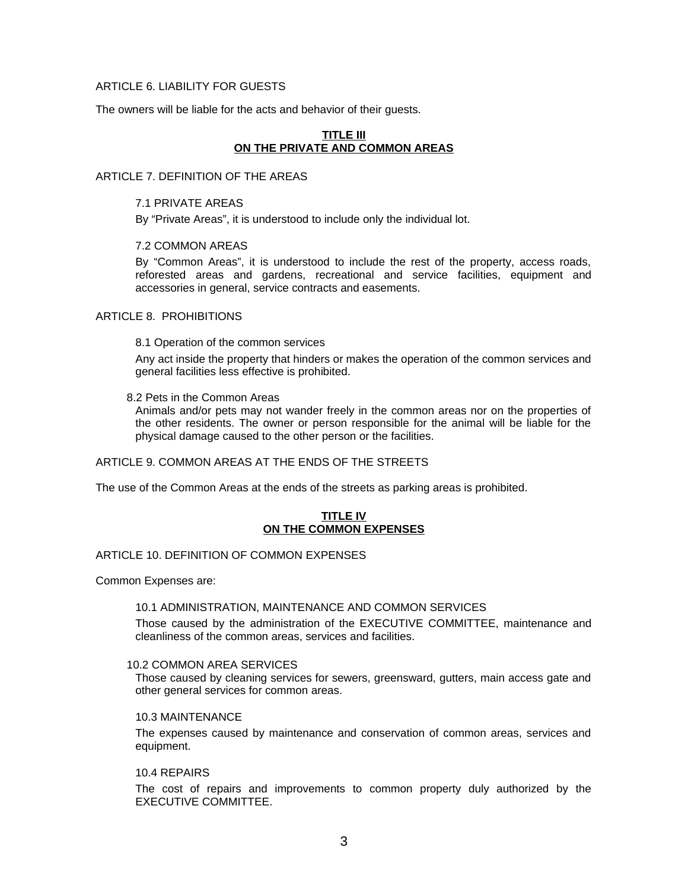## ARTICLE 6. LIABILITY FOR GUESTS

The owners will be liable for the acts and behavior of their guests.

## **TITLE III ON THE PRIVATE AND COMMON AREAS**

## ARTICLE 7. DEFINITION OF THE AREAS

### 7.1 PRIVATE AREAS

By "Private Areas", it is understood to include only the individual lot.

## 7.2 COMMON AREAS

By "Common Areas", it is understood to include the rest of the property, access roads, reforested areas and gardens, recreational and service facilities, equipment and accessories in general, service contracts and easements.

## ARTICLE 8. PROHIBITIONS

8.1 Operation of the common services

Any act inside the property that hinders or makes the operation of the common services and general facilities less effective is prohibited.

#### 8.2 Pets in the Common Areas

Animals and/or pets may not wander freely in the common areas nor on the properties of the other residents. The owner or person responsible for the animal will be liable for the physical damage caused to the other person or the facilities.

#### ARTICLE 9. COMMON AREAS AT THE ENDS OF THE STREETS

The use of the Common Areas at the ends of the streets as parking areas is prohibited.

## **TITLE IV ON THE COMMON EXPENSES**

## ARTICLE 10. DEFINITION OF COMMON EXPENSES

Common Expenses are:

## 10.1 ADMINISTRATION, MAINTENANCE AND COMMON SERVICES

Those caused by the administration of the EXECUTIVE COMMITTEE, maintenance and cleanliness of the common areas, services and facilities.

### 10.2 COMMON AREA SERVICES

Those caused by cleaning services for sewers, greensward, gutters, main access gate and other general services for common areas.

## 10.3 MAINTENANCE

The expenses caused by maintenance and conservation of common areas, services and equipment.

#### 10.4 REPAIRS

The cost of repairs and improvements to common property duly authorized by the EXECUTIVE COMMITTEE.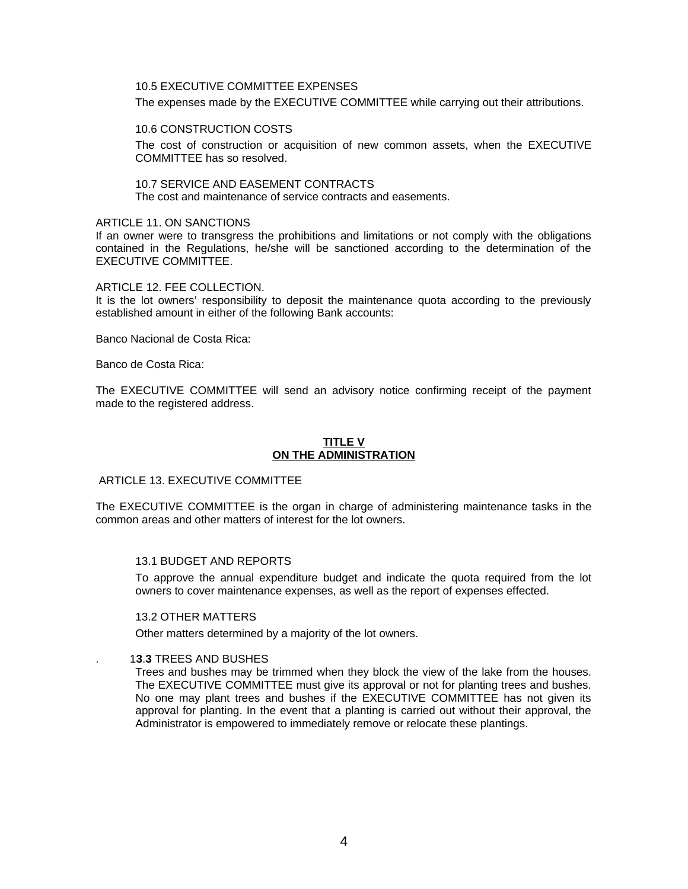## 10.5 EXECUTIVE COMMITTEE EXPENSES

The expenses made by the EXECUTIVE COMMITTEE while carrying out their attributions.

10.6 CONSTRUCTION COSTS

The cost of construction or acquisition of new common assets, when the EXECUTIVE COMMITTEE has so resolved.

10.7 SERVICE AND EASEMENT CONTRACTS The cost and maintenance of service contracts and easements.

### ARTICLE 11. ON SANCTIONS

If an owner were to transgress the prohibitions and limitations or not comply with the obligations contained in the Regulations, he/she will be sanctioned according to the determination of the EXECUTIVE COMMITTEE.

## ARTICLE 12. FEE COLLECTION.

It is the lot owners' responsibility to deposit the maintenance quota according to the previously established amount in either of the following Bank accounts:

Banco Nacional de Costa Rica:

Banco de Costa Rica:

The EXECUTIVE COMMITTEE will send an advisory notice confirming receipt of the payment made to the registered address.

## **TITLE V ON THE ADMINISTRATION**

## ARTICLE 13. EXECUTIVE COMMITTEE

The EXECUTIVE COMMITTEE is the organ in charge of administering maintenance tasks in the common areas and other matters of interest for the lot owners.

## 13.1 BUDGET AND REPORTS

To approve the annual expenditure budget and indicate the quota required from the lot owners to cover maintenance expenses, as well as the report of expenses effected.

## 13.2 OTHER MATTERS

Other matters determined by a majority of the lot owners.

#### . 1**3**.**3** TREES AND BUSHES

Trees and bushes may be trimmed when they block the view of the lake from the houses. The EXECUTIVE COMMITTEE must give its approval or not for planting trees and bushes. No one may plant trees and bushes if the EXECUTIVE COMMITTEE has not given its approval for planting. In the event that a planting is carried out without their approval, the Administrator is empowered to immediately remove or relocate these plantings.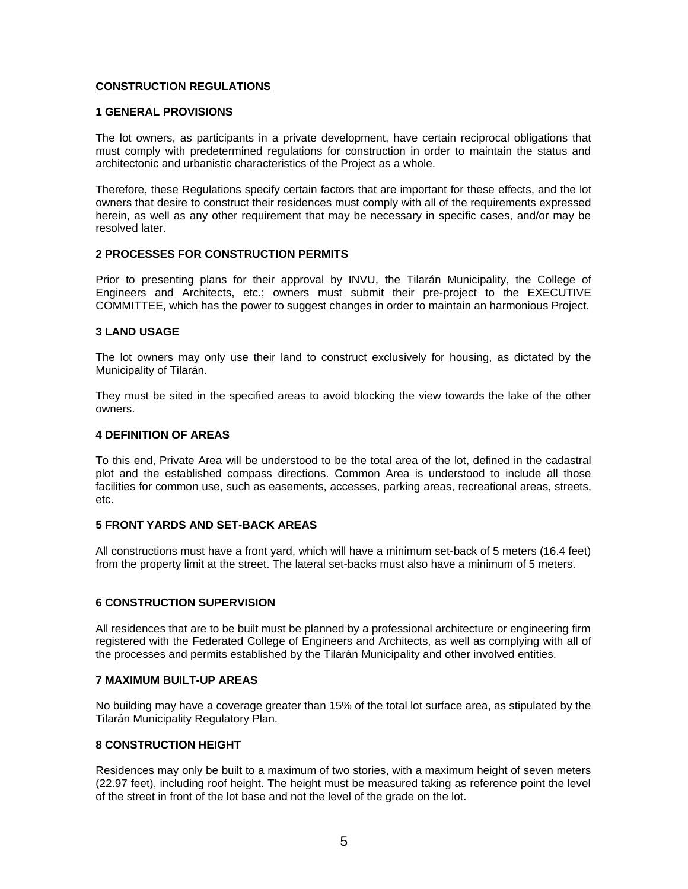## **CONSTRUCTION REGULATIONS**

### **1 GENERAL PROVISIONS**

The lot owners, as participants in a private development, have certain reciprocal obligations that must comply with predetermined regulations for construction in order to maintain the status and architectonic and urbanistic characteristics of the Project as a whole.

Therefore, these Regulations specify certain factors that are important for these effects, and the lot owners that desire to construct their residences must comply with all of the requirements expressed herein, as well as any other requirement that may be necessary in specific cases, and/or may be resolved later.

## **2 PROCESSES FOR CONSTRUCTION PERMITS**

Prior to presenting plans for their approval by INVU, the Tilarán Municipality, the College of Engineers and Architects, etc.; owners must submit their pre-project to the EXECUTIVE COMMITTEE, which has the power to suggest changes in order to maintain an harmonious Project.

## **3 LAND USAGE**

The lot owners may only use their land to construct exclusively for housing, as dictated by the Municipality of Tilarán.

They must be sited in the specified areas to avoid blocking the view towards the lake of the other owners.

## **4 DEFINITION OF AREAS**

To this end, Private Area will be understood to be the total area of the lot, defined in the cadastral plot and the established compass directions. Common Area is understood to include all those facilities for common use, such as easements, accesses, parking areas, recreational areas, streets, etc.

## **5 FRONT YARDS AND SET-BACK AREAS**

All constructions must have a front yard, which will have a minimum set-back of 5 meters (16.4 feet) from the property limit at the street. The lateral set-backs must also have a minimum of 5 meters.

## **6 CONSTRUCTION SUPERVISION**

All residences that are to be built must be planned by a professional architecture or engineering firm registered with the Federated College of Engineers and Architects, as well as complying with all of the processes and permits established by the Tilarán Municipality and other involved entities.

### **7 MAXIMUM BUILT-UP AREAS**

No building may have a coverage greater than 15% of the total lot surface area, as stipulated by the Tilarán Municipality Regulatory Plan.

## **8 CONSTRUCTION HEIGHT**

Residences may only be built to a maximum of two stories, with a maximum height of seven meters (22.97 feet), including roof height. The height must be measured taking as reference point the level of the street in front of the lot base and not the level of the grade on the lot.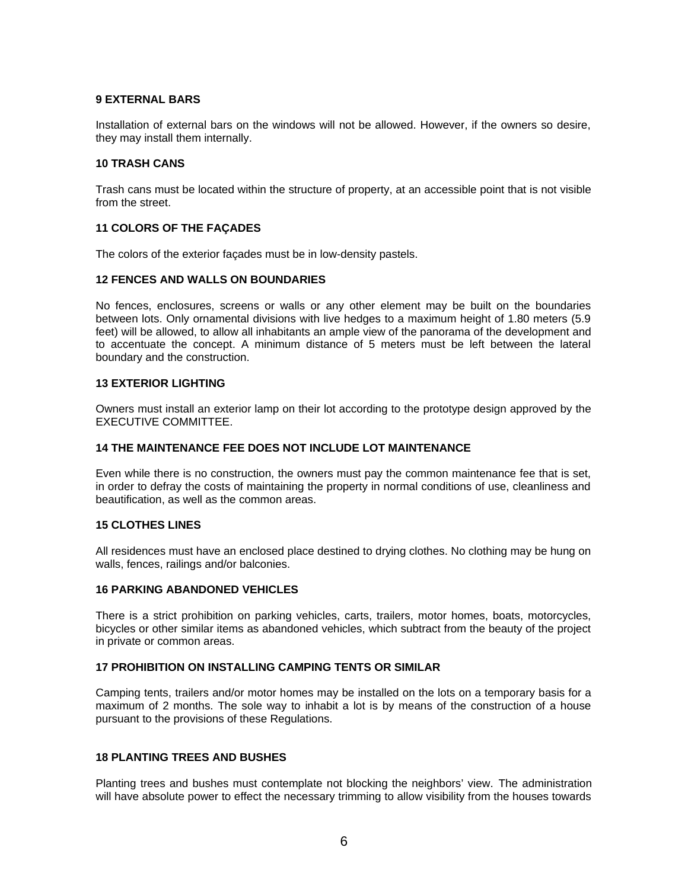## **9 EXTERNAL BARS**

Installation of external bars on the windows will not be allowed. However, if the owners so desire, they may install them internally.

## **10 TRASH CANS**

Trash cans must be located within the structure of property, at an accessible point that is not visible from the street.

## **11 COLORS OF THE FAÇADES**

The colors of the exterior façades must be in low-density pastels.

## **12 FENCES AND WALLS ON BOUNDARIES**

No fences, enclosures, screens or walls or any other element may be built on the boundaries between lots. Only ornamental divisions with live hedges to a maximum height of 1.80 meters (5.9 feet) will be allowed, to allow all inhabitants an ample view of the panorama of the development and to accentuate the concept. A minimum distance of 5 meters must be left between the lateral boundary and the construction.

## **13 EXTERIOR LIGHTING**

Owners must install an exterior lamp on their lot according to the prototype design approved by the EXECUTIVE COMMITTEE.

### **14 THE MAINTENANCE FEE DOES NOT INCLUDE LOT MAINTENANCE**

Even while there is no construction, the owners must pay the common maintenance fee that is set, in order to defray the costs of maintaining the property in normal conditions of use, cleanliness and beautification, as well as the common areas.

### **15 CLOTHES LINES**

All residences must have an enclosed place destined to drying clothes. No clothing may be hung on walls, fences, railings and/or balconies.

## **16 PARKING ABANDONED VEHICLES**

There is a strict prohibition on parking vehicles, carts, trailers, motor homes, boats, motorcycles, bicycles or other similar items as abandoned vehicles, which subtract from the beauty of the project in private or common areas.

### **17 PROHIBITION ON INSTALLING CAMPING TENTS OR SIMILAR**

Camping tents, trailers and/or motor homes may be installed on the lots on a temporary basis for a maximum of 2 months. The sole way to inhabit a lot is by means of the construction of a house pursuant to the provisions of these Regulations.

#### **18 PLANTING TREES AND BUSHES**

Planting trees and bushes must contemplate not blocking the neighbors' view. The administration will have absolute power to effect the necessary trimming to allow visibility from the houses towards